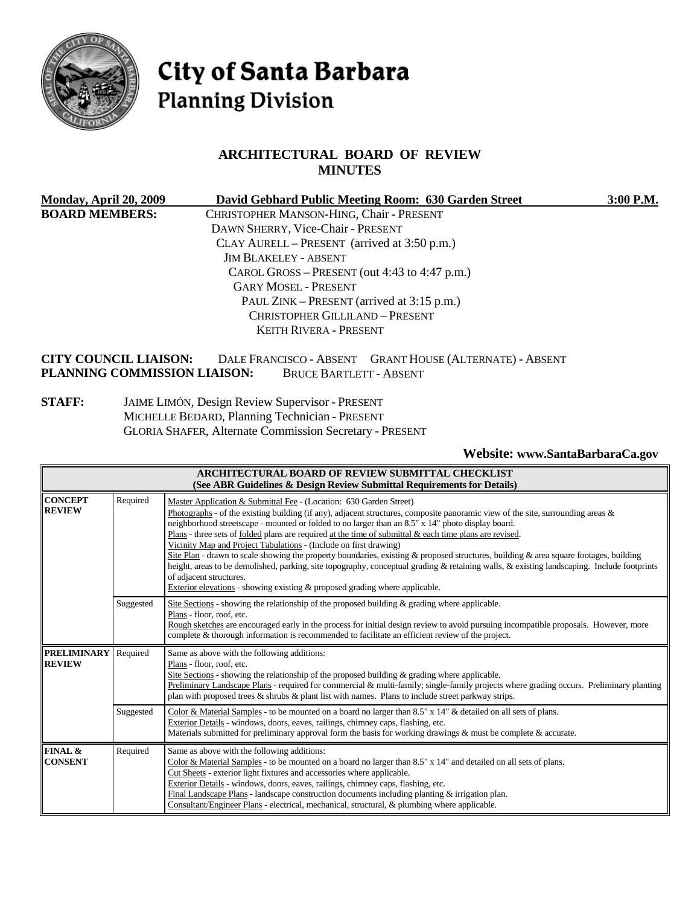

# City of Santa Barbara **Planning Division**

# **ARCHITECTURAL BOARD OF REVIEW MINUTES**

| Monday, April 20, 2009                 |                                               | David Gebhard Public Meeting Room: 630 Garden Street     | 3:00 P.M. |
|----------------------------------------|-----------------------------------------------|----------------------------------------------------------|-----------|
| <b>BOARD MEMBERS:</b>                  | CHRISTOPHER MANSON-HING, Chair - PRESENT      |                                                          |           |
|                                        | DAWN SHERRY, Vice-Chair - PRESENT             |                                                          |           |
|                                        | CLAY AURELL – PRESENT (arrived at 3:50 p.m.)  |                                                          |           |
|                                        | <b>JIM BLAKELEY - ABSENT</b>                  |                                                          |           |
|                                        | CAROL GROSS - PRESENT (out 4:43 to 4:47 p.m.) |                                                          |           |
|                                        | <b>GARY MOSEL - PRESENT</b>                   |                                                          |           |
|                                        | PAUL ZINK – PRESENT (arrived at 3:15 p.m.)    |                                                          |           |
| <b>CHRISTOPHER GILLILAND - PRESENT</b> |                                               |                                                          |           |
|                                        | <b>KEITH RIVERA - PRESENT</b>                 |                                                          |           |
| CITY COUNCIL LIAISON:                  |                                               | DALE FRANCISCO - ABSENT GRANT HOUSE (ALTERNATE) - ABSENT |           |

**CITY COUNCIL LIAISON:** DALE FRANCISCO - ABSENT GRANT HOUSE (ALTERNATE) - ABSENT **PLANNING COMMISSION LIAISON:** BRUCE BARTLETT - ABSENT

**STAFF:** JAIME LIMÓN, Design Review Supervisor - PRESENT MICHELLE BEDARD, Planning Technician - PRESENT GLORIA SHAFER, Alternate Commission Secretary - PRESENT

**Website: www.SantaBarbaraCa.gov** 

| ARCHITECTURAL BOARD OF REVIEW SUBMITTAL CHECKLIST<br>(See ABR Guidelines & Design Review Submittal Requirements for Details) |           |                                                                                                                                                                                                                                                                                                                                                                                                                                                                                                                                                                                                                                                                                                                                                                                                                                                                                                   |  |
|------------------------------------------------------------------------------------------------------------------------------|-----------|---------------------------------------------------------------------------------------------------------------------------------------------------------------------------------------------------------------------------------------------------------------------------------------------------------------------------------------------------------------------------------------------------------------------------------------------------------------------------------------------------------------------------------------------------------------------------------------------------------------------------------------------------------------------------------------------------------------------------------------------------------------------------------------------------------------------------------------------------------------------------------------------------|--|
| <b>CONCEPT</b><br><b>REVIEW</b>                                                                                              | Required  | Master Application & Submittal Fee - (Location: 630 Garden Street)<br>Photographs - of the existing building (if any), adjacent structures, composite panoramic view of the site, surrounding areas &<br>neighborhood streetscape - mounted or folded to no larger than an 8.5" x 14" photo display board.<br>Plans - three sets of folded plans are required at the time of submittal $\&$ each time plans are revised.<br>Vicinity Map and Project Tabulations - (Include on first drawing)<br>Site Plan - drawn to scale showing the property boundaries, existing & proposed structures, building & area square footages, building<br>height, areas to be demolished, parking, site topography, conceptual grading & retaining walls, & existing landscaping. Include footprints<br>of adjacent structures.<br>Exterior elevations - showing existing $\&$ proposed grading where applicable. |  |
|                                                                                                                              | Suggested | Site Sections - showing the relationship of the proposed building $\&$ grading where applicable.<br>Plans - floor, roof, etc.<br>Rough sketches are encouraged early in the process for initial design review to avoid pursuing incompatible proposals. However, more<br>complete & thorough information is recommended to facilitate an efficient review of the project.                                                                                                                                                                                                                                                                                                                                                                                                                                                                                                                         |  |
| <b>PRELIMINARY</b><br><b>REVIEW</b>                                                                                          | Required  | Same as above with the following additions:<br>Plans - floor, roof, etc.<br>Site Sections - showing the relationship of the proposed building $\&$ grading where applicable.<br>Preliminary Landscape Plans - required for commercial & multi-family; single-family projects where grading occurs. Preliminary planting<br>plan with proposed trees $\&$ shrubs $\&$ plant list with names. Plans to include street parkway strips.                                                                                                                                                                                                                                                                                                                                                                                                                                                               |  |
|                                                                                                                              | Suggested | Color & Material Samples - to be mounted on a board no larger than 8.5" x 14" & detailed on all sets of plans.<br>Exterior Details - windows, doors, eaves, railings, chimney caps, flashing, etc.<br>Materials submitted for preliminary approval form the basis for working drawings $\&$ must be complete $\&$ accurate.                                                                                                                                                                                                                                                                                                                                                                                                                                                                                                                                                                       |  |
| FINAL &<br><b>CONSENT</b>                                                                                                    | Required  | Same as above with the following additions:<br>Color & Material Samples - to be mounted on a board no larger than $8.5" \times 14"$ and detailed on all sets of plans.<br>Cut Sheets - exterior light fixtures and accessories where applicable.<br>Exterior Details - windows, doors, eaves, railings, chimney caps, flashing, etc.<br>Final Landscape Plans - landscape construction documents including planting $\&$ irrigation plan.<br>Consultant/Engineer Plans - electrical, mechanical, structural, & plumbing where applicable.                                                                                                                                                                                                                                                                                                                                                         |  |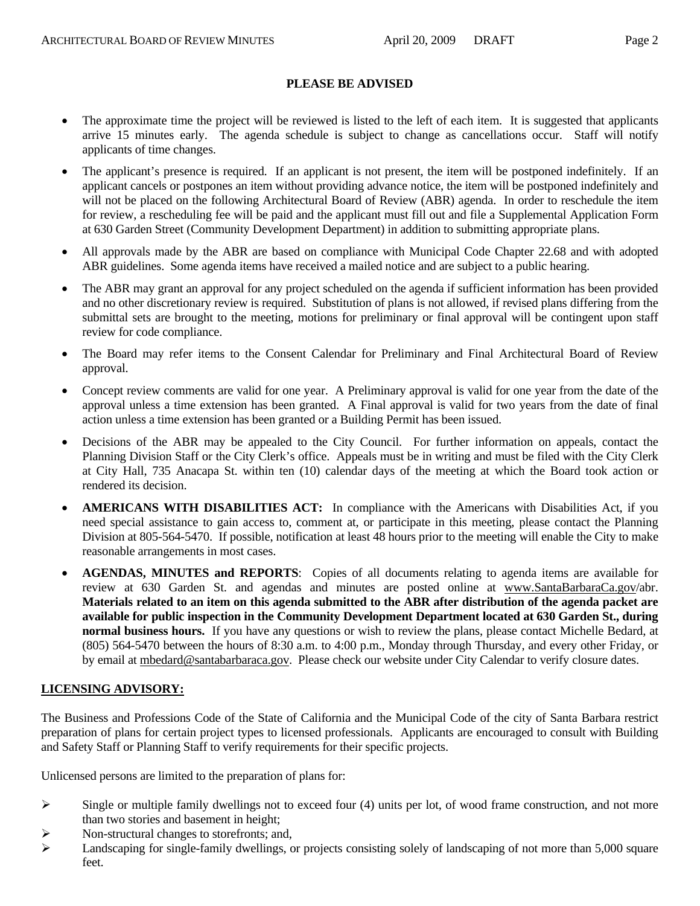#### **PLEASE BE ADVISED**

- The approximate time the project will be reviewed is listed to the left of each item. It is suggested that applicants arrive 15 minutes early. The agenda schedule is subject to change as cancellations occur. Staff will notify applicants of time changes.
- The applicant's presence is required. If an applicant is not present, the item will be postponed indefinitely. If an applicant cancels or postpones an item without providing advance notice, the item will be postponed indefinitely and will not be placed on the following Architectural Board of Review (ABR) agenda. In order to reschedule the item for review, a rescheduling fee will be paid and the applicant must fill out and file a Supplemental Application Form at 630 Garden Street (Community Development Department) in addition to submitting appropriate plans.
- All approvals made by the ABR are based on compliance with Municipal Code Chapter 22.68 and with adopted ABR guidelines. Some agenda items have received a mailed notice and are subject to a public hearing.
- The ABR may grant an approval for any project scheduled on the agenda if sufficient information has been provided and no other discretionary review is required. Substitution of plans is not allowed, if revised plans differing from the submittal sets are brought to the meeting, motions for preliminary or final approval will be contingent upon staff review for code compliance.
- The Board may refer items to the Consent Calendar for Preliminary and Final Architectural Board of Review approval.
- Concept review comments are valid for one year. A Preliminary approval is valid for one year from the date of the approval unless a time extension has been granted. A Final approval is valid for two years from the date of final action unless a time extension has been granted or a Building Permit has been issued.
- Decisions of the ABR may be appealed to the City Council. For further information on appeals, contact the Planning Division Staff or the City Clerk's office. Appeals must be in writing and must be filed with the City Clerk at City Hall, 735 Anacapa St. within ten (10) calendar days of the meeting at which the Board took action or rendered its decision.
- **AMERICANS WITH DISABILITIES ACT:** In compliance with the Americans with Disabilities Act, if you need special assistance to gain access to, comment at, or participate in this meeting, please contact the Planning Division at 805-564-5470. If possible, notification at least 48 hours prior to the meeting will enable the City to make reasonable arrangements in most cases.
- **AGENDAS, MINUTES and REPORTS**: Copies of all documents relating to agenda items are available for review at 630 Garden St. and agendas and minutes are posted online at www.SantaBarbaraCa.gov/abr. **Materials related to an item on this agenda submitted to the ABR after distribution of the agenda packet are available for public inspection in the Community Development Department located at 630 Garden St., during normal business hours.** If you have any questions or wish to review the plans, please contact Michelle Bedard, at (805) 564-5470 between the hours of 8:30 a.m. to 4:00 p.m., Monday through Thursday, and every other Friday, or by email at mbedard@santabarbaraca.gov. Please check our website under City Calendar to verify closure dates.

# **LICENSING ADVISORY:**

The Business and Professions Code of the State of California and the Municipal Code of the city of Santa Barbara restrict preparation of plans for certain project types to licensed professionals. Applicants are encouraged to consult with Building and Safety Staff or Planning Staff to verify requirements for their specific projects.

Unlicensed persons are limited to the preparation of plans for:

- $\triangleright$  Single or multiple family dwellings not to exceed four (4) units per lot, of wood frame construction, and not more than two stories and basement in height;
- ¾ Non-structural changes to storefronts; and,
- $\blacktriangleright$  Landscaping for single-family dwellings, or projects consisting solely of landscaping of not more than 5,000 square feet.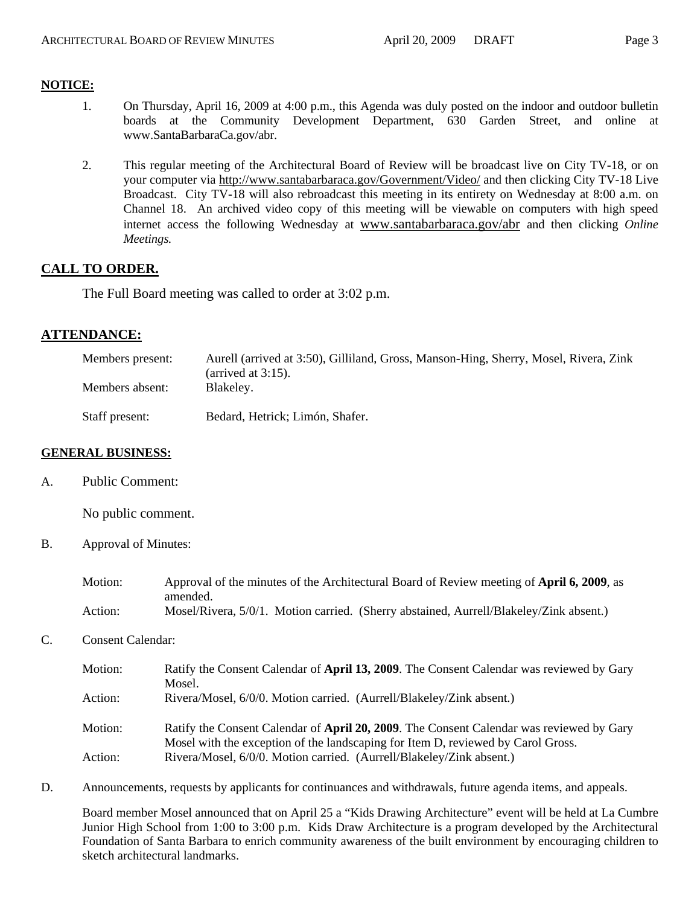#### **NOTICE:**

- 1. On Thursday, April 16, 2009 at 4:00 p.m., this Agenda was duly posted on the indoor and outdoor bulletin boards at the Community Development Department, 630 Garden Street, and online at www.SantaBarbaraCa.gov/abr.
- 2. This regular meeting of the Architectural Board of Review will be broadcast live on City TV-18, or on your computer via http://www.santabarbaraca.gov/Government/Video/ and then clicking City TV-18 Live Broadcast. City TV-18 will also rebroadcast this meeting in its entirety on Wednesday at 8:00 a.m. on Channel 18. An archived video copy of this meeting will be viewable on computers with high speed internet access the following Wednesday at www.santabarbaraca.gov/abr and then clicking *Online Meetings.*

#### **CALL TO ORDER.**

The Full Board meeting was called to order at 3:02 p.m.

#### **ATTENDANCE:**

| Members present: | Aurell (arrived at 3:50), Gilliland, Gross, Manson-Hing, Sherry, Mosel, Rivera, Zink<br>(arrived at $3:15$ ). |
|------------------|---------------------------------------------------------------------------------------------------------------|
| Members absent:  | Blakeley.                                                                                                     |
| Staff present:   | Bedard, Hetrick; Limón, Shafer.                                                                               |

#### **GENERAL BUSINESS:**

A. Public Comment:

No public comment.

B. Approval of Minutes:

| Motion: | Approval of the minutes of the Architectural Board of Review meeting of April 6, 2009, as |
|---------|-------------------------------------------------------------------------------------------|
|         | amended.                                                                                  |
| Action: | Mosel/Rivera, 5/0/1. Motion carried. (Sherry abstained, Aurrell/Blakeley/Zink absent.)    |

C. Consent Calendar:

| Motion: | Ratify the Consent Calendar of April 13, 2009. The Consent Calendar was reviewed by Gary |
|---------|------------------------------------------------------------------------------------------|
|         | Mosel.                                                                                   |
| Action: | Rivera/Mosel, 6/0/0. Motion carried. (Aurrell/Blakeley/Zink absent.)                     |
| Motion: | Ratify the Consent Calendar of April 20, 2009. The Consent Calendar was reviewed by Gary |
|         | Mosel with the exception of the landscaping for Item D, reviewed by Carol Gross.         |
| Action: | Rivera/Mosel, 6/0/0. Motion carried. (Aurrell/Blakeley/Zink absent.)                     |

D. Announcements, requests by applicants for continuances and withdrawals, future agenda items, and appeals.

Board member Mosel announced that on April 25 a "Kids Drawing Architecture" event will be held at La Cumbre Junior High School from 1:00 to 3:00 p.m. Kids Draw Architecture is a program developed by the Architectural Foundation of Santa Barbara to enrich community awareness of the built environment by encouraging children to sketch architectural landmarks.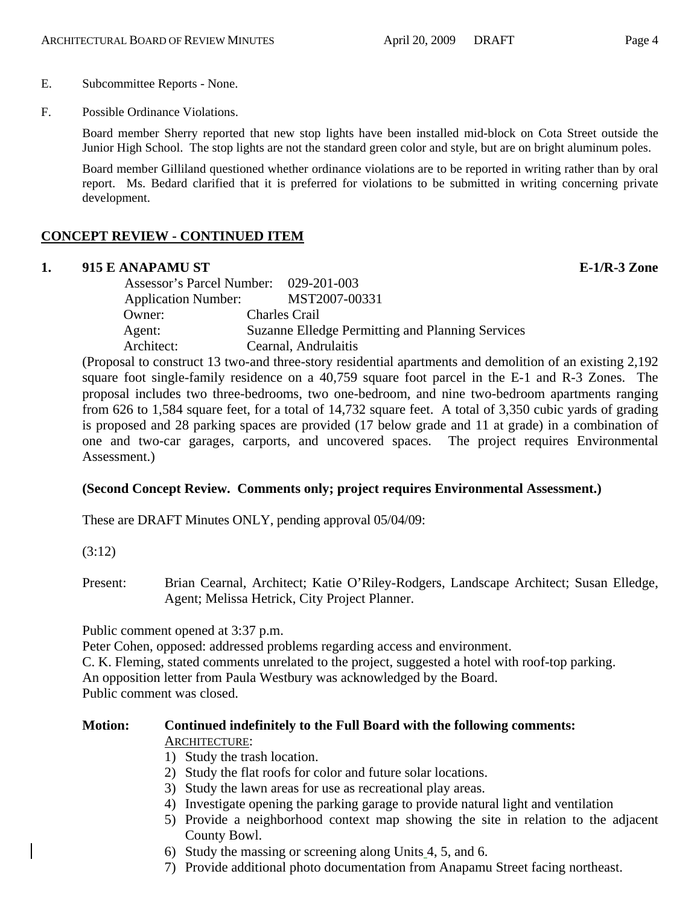#### E. Subcommittee Reports - None.

F. Possible Ordinance Violations.

Board member Sherry reported that new stop lights have been installed mid-block on Cota Street outside the Junior High School. The stop lights are not the standard green color and style, but are on bright aluminum poles.

Board member Gilliland questioned whether ordinance violations are to be reported in writing rather than by oral report. Ms. Bedard clarified that it is preferred for violations to be submitted in writing concerning private development.

# **CONCEPT REVIEW - CONTINUED ITEM**

#### **1. 915 E ANAPAMU ST E-1/R-3 Zone**

| Assessor's Parcel Number: 029-201-003 |                                                  |
|---------------------------------------|--------------------------------------------------|
| <b>Application Number:</b>            | MST2007-00331                                    |
| Owner:                                | <b>Charles Crail</b>                             |
| Agent:                                | Suzanne Elledge Permitting and Planning Services |
| Architect:                            | Cearnal, Andrulaitis                             |

(Proposal to construct 13 two-and three-story residential apartments and demolition of an existing 2,192 square foot single-family residence on a 40,759 square foot parcel in the E-1 and R-3 Zones. The proposal includes two three-bedrooms, two one-bedroom, and nine two-bedroom apartments ranging from 626 to 1,584 square feet, for a total of 14,732 square feet. A total of 3,350 cubic yards of grading is proposed and 28 parking spaces are provided (17 below grade and 11 at grade) in a combination of one and two-car garages, carports, and uncovered spaces. The project requires Environmental Assessment.)

# **(Second Concept Review. Comments only; project requires Environmental Assessment.)**

These are DRAFT Minutes ONLY, pending approval 05/04/09:

(3:12)

Present: Brian Cearnal, Architect; Katie O'Riley-Rodgers, Landscape Architect; Susan Elledge, Agent; Melissa Hetrick, City Project Planner.

Public comment opened at 3:37 p.m.

Peter Cohen, opposed: addressed problems regarding access and environment.

C. K. Fleming, stated comments unrelated to the project, suggested a hotel with roof-top parking.

An opposition letter from Paula Westbury was acknowledged by the Board.

Public comment was closed.

#### **Motion: Continued indefinitely to the Full Board with the following comments:**  ARCHITECTURE:

- 1) Study the trash location.
- 2) Study the flat roofs for color and future solar locations.
- 3) Study the lawn areas for use as recreational play areas.
- 4) Investigate opening the parking garage to provide natural light and ventilation
- 5) Provide a neighborhood context map showing the site in relation to the adjacent County Bowl.
- 6) Study the massing or screening along Units 4, 5, and 6.
- 7) Provide additional photo documentation from Anapamu Street facing northeast.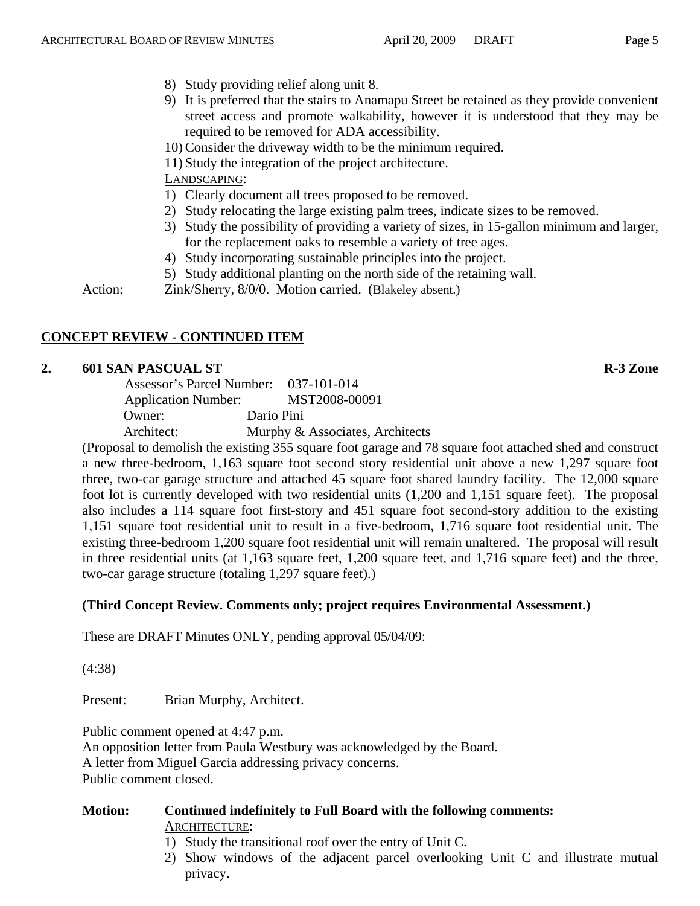- 
- 8) Study providing relief along unit 8.
- 9) It is preferred that the stairs to Anamapu Street be retained as they provide convenient street access and promote walkability, however it is understood that they may be required to be removed for ADA accessibility.
- 10) Consider the driveway width to be the minimum required.
- 11) Study the integration of the project architecture.

- 1) Clearly document all trees proposed to be removed.
- 2) Study relocating the large existing palm trees, indicate sizes to be removed.
- 3) Study the possibility of providing a variety of sizes, in 15-gallon minimum and larger, for the replacement oaks to resemble a variety of tree ages.
- 4) Study incorporating sustainable principles into the project.
- 5) Study additional planting on the north side of the retaining wall.

Action: Zink/Sherry, 8/0/0. Motion carried. (Blakeley absent.)

# **CONCEPT REVIEW - CONTINUED ITEM**

# **2. 601 SAN PASCUAL ST R-3 Zone**

|                            | Assessor's Parcel Number: 037-101-014 |
|----------------------------|---------------------------------------|
| <b>Application Number:</b> | MST2008-00091                         |
| Owner:                     | Dario Pini                            |
| Architect:                 | Murphy & Associates, Architects       |

(Proposal to demolish the existing 355 square foot garage and 78 square foot attached shed and construct a new three-bedroom, 1,163 square foot second story residential unit above a new 1,297 square foot three, two-car garage structure and attached 45 square foot shared laundry facility. The 12,000 square foot lot is currently developed with two residential units (1,200 and 1,151 square feet). The proposal also includes a 114 square foot first-story and 451 square foot second-story addition to the existing 1,151 square foot residential unit to result in a five-bedroom, 1,716 square foot residential unit. The existing three-bedroom 1,200 square foot residential unit will remain unaltered. The proposal will result in three residential units (at 1,163 square feet, 1,200 square feet, and 1,716 square feet) and the three, two-car garage structure (totaling 1,297 square feet).)

# **(Third Concept Review. Comments only; project requires Environmental Assessment.)**

These are DRAFT Minutes ONLY, pending approval 05/04/09:

(4:38)

Present: Brian Murphy, Architect.

Public comment opened at 4:47 p.m. An opposition letter from Paula Westbury was acknowledged by the Board. A letter from Miguel Garcia addressing privacy concerns. Public comment closed.

#### **Motion: Continued indefinitely to Full Board with the following comments:**  ARCHITECTURE:

- 1) Study the transitional roof over the entry of Unit C.
- 2) Show windows of the adjacent parcel overlooking Unit C and illustrate mutual privacy.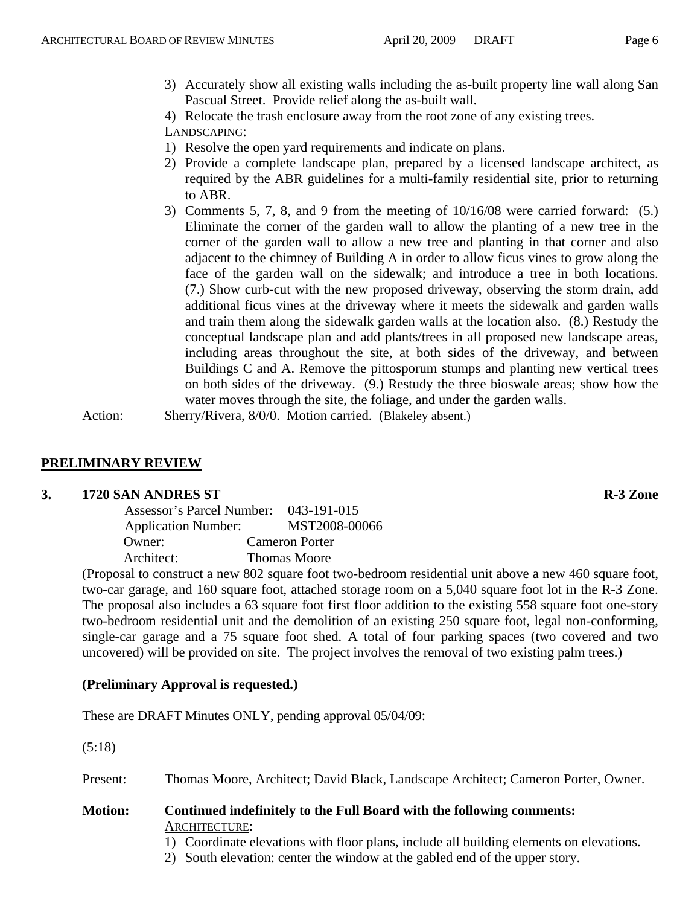3) Accurately show all existing walls including the as-built property line wall along San Pascual Street. Provide relief along the as-built wall.

4) Relocate the trash enclosure away from the root zone of any existing trees.

# LANDSCAPING:

- 1) Resolve the open yard requirements and indicate on plans.
- 2) Provide a complete landscape plan, prepared by a licensed landscape architect, as required by the ABR guidelines for a multi-family residential site, prior to returning to ABR.
- 3) Comments 5, 7, 8, and 9 from the meeting of 10/16/08 were carried forward: (5.) Eliminate the corner of the garden wall to allow the planting of a new tree in the corner of the garden wall to allow a new tree and planting in that corner and also adjacent to the chimney of Building A in order to allow ficus vines to grow along the face of the garden wall on the sidewalk; and introduce a tree in both locations. (7.) Show curb-cut with the new proposed driveway, observing the storm drain, add additional ficus vines at the driveway where it meets the sidewalk and garden walls and train them along the sidewalk garden walls at the location also. (8.) Restudy the conceptual landscape plan and add plants/trees in all proposed new landscape areas, including areas throughout the site, at both sides of the driveway, and between Buildings C and A. Remove the pittosporum stumps and planting new vertical trees on both sides of the driveway. (9.) Restudy the three bioswale areas; show how the water moves through the site, the foliage, and under the garden walls.

Action: Sherry/Rivera, 8/0/0. Motion carried. (Blakeley absent.)

# **PRELIMINARY REVIEW**

#### **3. 1720 SAN ANDRES ST R-3 Zone**

| Assessor's Parcel Number: 043-191-015 |                     |
|---------------------------------------|---------------------|
| <b>Application Number:</b>            | MST2008-00066       |
| Owner:                                | Cameron Porter      |
| Architect:                            | <b>Thomas Moore</b> |

(Proposal to construct a new 802 square foot two-bedroom residential unit above a new 460 square foot, two-car garage, and 160 square foot, attached storage room on a 5,040 square foot lot in the R-3 Zone. The proposal also includes a 63 square foot first floor addition to the existing 558 square foot one-story two-bedroom residential unit and the demolition of an existing 250 square foot, legal non-conforming, single-car garage and a 75 square foot shed. A total of four parking spaces (two covered and two uncovered) will be provided on site. The project involves the removal of two existing palm trees.)

# **(Preliminary Approval is requested.)**

These are DRAFT Minutes ONLY, pending approval 05/04/09:

(5:18)

Present: Thomas Moore, Architect; David Black, Landscape Architect; Cameron Porter, Owner.

#### **Motion: Continued indefinitely to the Full Board with the following comments:**  ARCHITECTURE:

1) Coordinate elevations with floor plans, include all building elements on elevations.

2) South elevation: center the window at the gabled end of the upper story.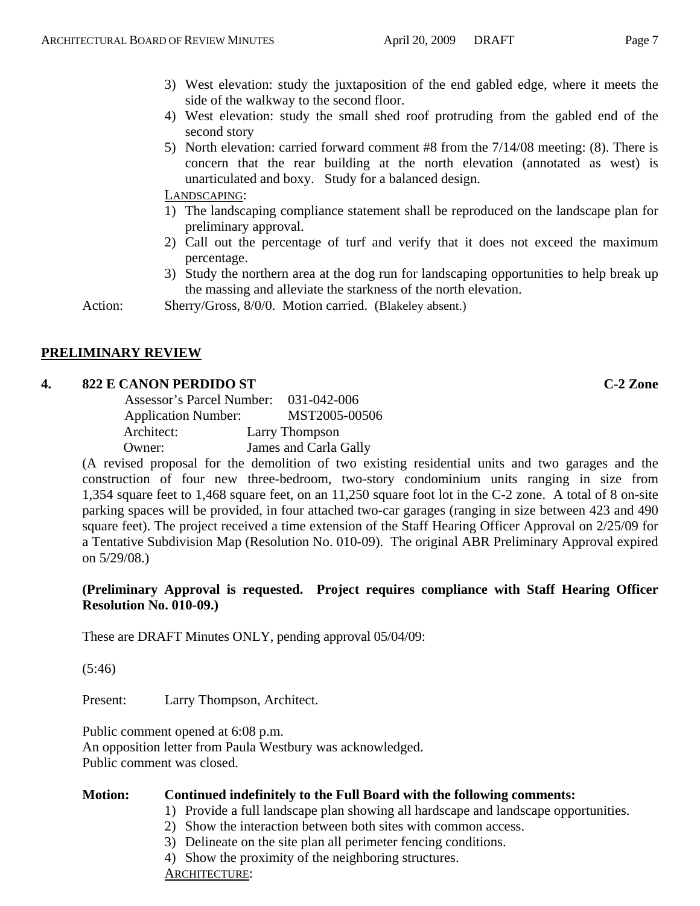- 3) West elevation: study the juxtaposition of the end gabled edge, where it meets the side of the walkway to the second floor.
- 4) West elevation: study the small shed roof protruding from the gabled end of the second story
- 5) North elevation: carried forward comment #8 from the 7/14/08 meeting: (8). There is concern that the rear building at the north elevation (annotated as west) is unarticulated and boxy. Study for a balanced design.

- 1) The landscaping compliance statement shall be reproduced on the landscape plan for preliminary approval.
- 2) Call out the percentage of turf and verify that it does not exceed the maximum percentage.
- 3) Study the northern area at the dog run for landscaping opportunities to help break up the massing and alleviate the starkness of the north elevation.

Action: Sherry/Gross, 8/0/0. Motion carried. (Blakeley absent.)

# **PRELIMINARY REVIEW**

# **4. 822 E CANON PERDIDO ST C-2 Zone**

| Assessor's Parcel Number:  | 031-042-006           |
|----------------------------|-----------------------|
| <b>Application Number:</b> | MST2005-00506         |
| Architect:                 | Larry Thompson        |
| Owner:                     | James and Carla Gally |

(A revised proposal for the demolition of two existing residential units and two garages and the construction of four new three-bedroom, two-story condominium units ranging in size from 1,354 square feet to 1,468 square feet, on an 11,250 square foot lot in the C-2 zone. A total of 8 on-site parking spaces will be provided, in four attached two-car garages (ranging in size between 423 and 490 square feet). The project received a time extension of the Staff Hearing Officer Approval on 2/25/09 for a Tentative Subdivision Map (Resolution No. 010-09). The original ABR Preliminary Approval expired on 5/29/08.)

# **(Preliminary Approval is requested. Project requires compliance with Staff Hearing Officer Resolution No. 010-09.)**

These are DRAFT Minutes ONLY, pending approval 05/04/09:

(5:46)

Present: Larry Thompson, Architect.

Public comment opened at 6:08 p.m. An opposition letter from Paula Westbury was acknowledged. Public comment was closed.

# **Motion: Continued indefinitely to the Full Board with the following comments:**

- 1) Provide a full landscape plan showing all hardscape and landscape opportunities.
- 2) Show the interaction between both sites with common access.
- 3) Delineate on the site plan all perimeter fencing conditions.

4) Show the proximity of the neighboring structures.

ARCHITECTURE: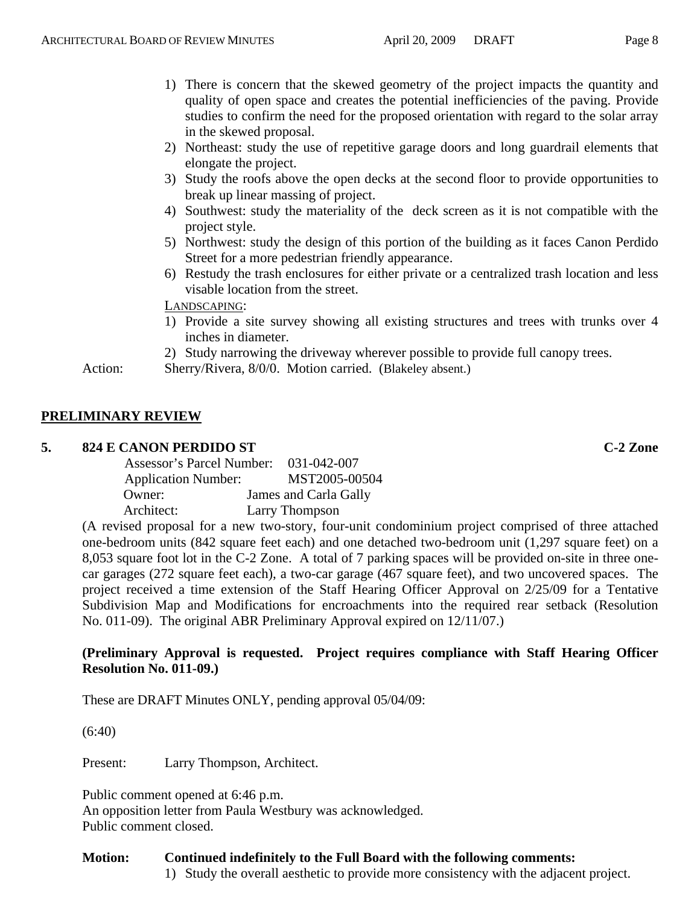- 1) There is concern that the skewed geometry of the project impacts the quantity and quality of open space and creates the potential inefficiencies of the paving. Provide studies to confirm the need for the proposed orientation with regard to the solar array in the skewed proposal.
- 2) Northeast: study the use of repetitive garage doors and long guardrail elements that elongate the project.
- 3) Study the roofs above the open decks at the second floor to provide opportunities to break up linear massing of project.
- 4) Southwest: study the materiality of the deck screen as it is not compatible with the project style.
- 5) Northwest: study the design of this portion of the building as it faces Canon Perdido Street for a more pedestrian friendly appearance.
- 6) Restudy the trash enclosures for either private or a centralized trash location and less visable location from the street.

- 1) Provide a site survey showing all existing structures and trees with trunks over 4 inches in diameter.
- 2) Study narrowing the driveway wherever possible to provide full canopy trees.
- Action: Sherry/Rivera, 8/0/0. Motion carried. (Blakeley absent.)

# **PRELIMINARY REVIEW**

#### **5. 824 E CANON PERDIDO ST C-2 Zone**

| Assessor's Parcel Number: 031-042-007 |                       |
|---------------------------------------|-----------------------|
| <b>Application Number:</b>            | MST2005-00504         |
| Owner:                                | James and Carla Gally |
| Architect:                            | Larry Thompson        |

(A revised proposal for a new two-story, four-unit condominium project comprised of three attached one-bedroom units (842 square feet each) and one detached two-bedroom unit (1,297 square feet) on a 8,053 square foot lot in the C-2 Zone. A total of 7 parking spaces will be provided on-site in three onecar garages (272 square feet each), a two-car garage (467 square feet), and two uncovered spaces. The project received a time extension of the Staff Hearing Officer Approval on 2/25/09 for a Tentative Subdivision Map and Modifications for encroachments into the required rear setback (Resolution No. 011-09). The original ABR Preliminary Approval expired on 12/11/07.)

#### **(Preliminary Approval is requested. Project requires compliance with Staff Hearing Officer Resolution No. 011-09.)**

These are DRAFT Minutes ONLY, pending approval 05/04/09:

(6:40)

Present: Larry Thompson, Architect.

Public comment opened at 6:46 p.m. An opposition letter from Paula Westbury was acknowledged. Public comment closed.

#### **Motion: Continued indefinitely to the Full Board with the following comments:**

1) Study the overall aesthetic to provide more consistency with the adjacent project.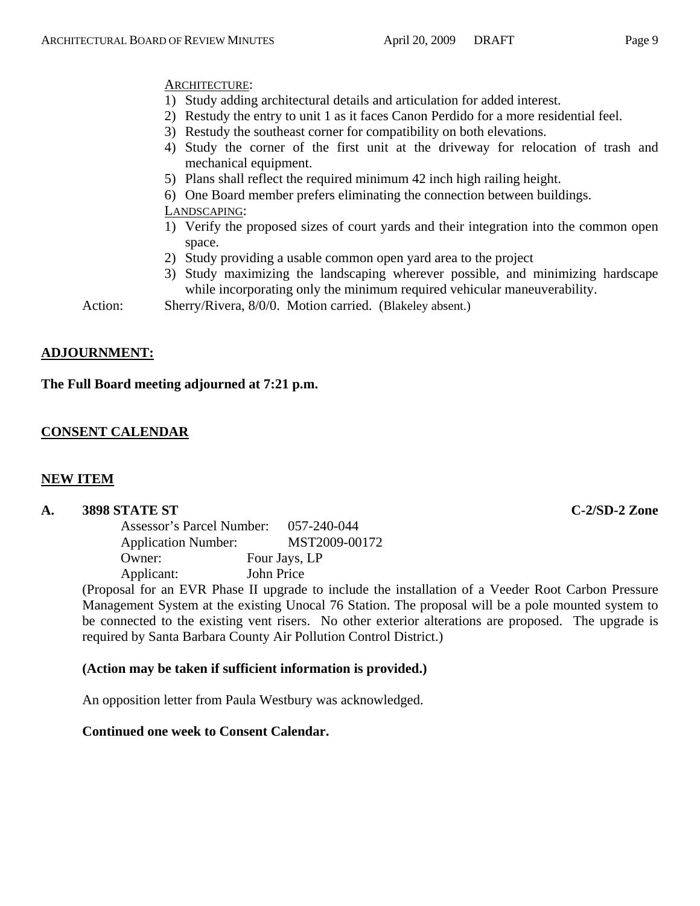- ARCHITECTURE:
- 1) Study adding architectural details and articulation for added interest.
- 2) Restudy the entry to unit 1 as it faces Canon Perdido for a more residential feel.
- 3) Restudy the southeast corner for compatibility on both elevations. 4) Study the corner of the first unit at the driveway for relocation of trash and mechanical equipment.
- 5) Plans shall reflect the required minimum 42 inch high railing height.
- 6) One Board member prefers eliminating the connection between buildings.

- 1) Verify the proposed sizes of court yards and their integration into the common open space.
- 2) Study providing a usable common open yard area to the project
- 3) Study maximizing the landscaping wherever possible, and minimizing hardscape while incorporating only the minimum required vehicular maneuverability.

Action: Sherry/Rivera, 8/0/0. Motion carried. (Blakeley absent.)

# **ADJOURNMENT:**

# **The Full Board meeting adjourned at 7:21 p.m.**

# **CONSENT CALENDAR**

# **NEW ITEM**

# **A. 3898 STATE ST C-2/SD-2 Zone**

| Assessor's Parcel Number:  | 057-240-044   |
|----------------------------|---------------|
| <b>Application Number:</b> | MST2009-00172 |
| Owner:                     | Four Jays, LP |
| Applicant:                 | John Price    |

(Proposal for an EVR Phase II upgrade to include the installation of a Veeder Root Carbon Pressure Management System at the existing Unocal 76 Station. The proposal will be a pole mounted system to be connected to the existing vent risers. No other exterior alterations are proposed. The upgrade is required by Santa Barbara County Air Pollution Control District.)

# **(Action may be taken if sufficient information is provided.)**

An opposition letter from Paula Westbury was acknowledged.

# **Continued one week to Consent Calendar.**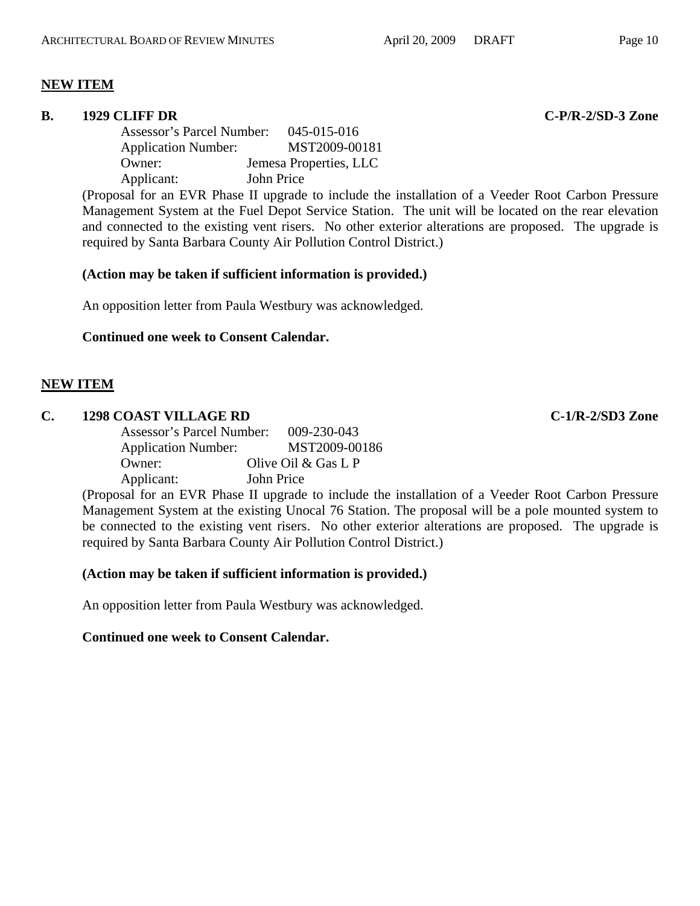# **NEW ITEM**

#### **B.** 1929 CLIFF DR C-P/R-2/SD-3 Zone

 Assessor's Parcel Number: 045-015-016 Application Number: MST2009-00181 Owner: Jemesa Properties, LLC Applicant: John Price

(Proposal for an EVR Phase II upgrade to include the installation of a Veeder Root Carbon Pressure Management System at the Fuel Depot Service Station. The unit will be located on the rear elevation and connected to the existing vent risers. No other exterior alterations are proposed. The upgrade is required by Santa Barbara County Air Pollution Control District.)

#### **(Action may be taken if sufficient information is provided.)**

An opposition letter from Paula Westbury was acknowledged.

# **Continued one week to Consent Calendar.**

# **NEW ITEM**

#### **C. 1298 COAST VILLAGE RD C-1/R-2/SD3 Zone**

 Assessor's Parcel Number: 009-230-043 Application Number: MST2009-00186 Owner: Olive Oil & Gas L P Applicant: John Price

(Proposal for an EVR Phase II upgrade to include the installation of a Veeder Root Carbon Pressure Management System at the existing Unocal 76 Station. The proposal will be a pole mounted system to be connected to the existing vent risers. No other exterior alterations are proposed. The upgrade is required by Santa Barbara County Air Pollution Control District.)

#### **(Action may be taken if sufficient information is provided.)**

An opposition letter from Paula Westbury was acknowledged.

# **Continued one week to Consent Calendar.**